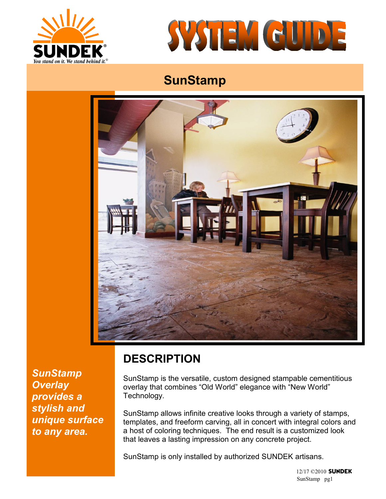



# **SunStamp**



*SunStamp Overlay provides a stylish and unique surface to any area.*

## **DESCRIPTION**

SunStamp is the versatile, custom designed stampable cementitious overlay that combines "Old World" elegance with "New World" Technology.

SunStamp allows infinite creative looks through a variety of stamps, templates, and freeform carving, all in concert with integral colors and a host of coloring techniques. The end result is a customized look that leaves a lasting impression on any concrete project.

SunStamp is only installed by authorized SUNDEK artisans.